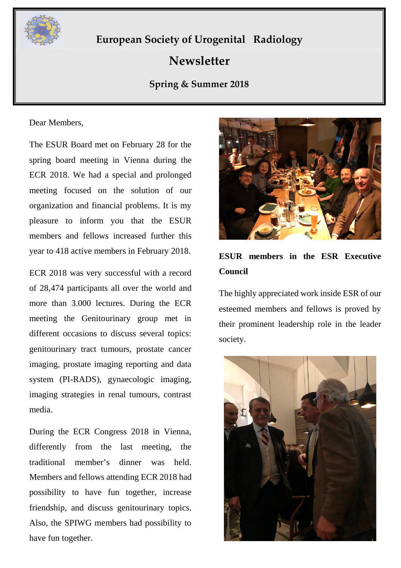

## **European Society of Urogenital Radiology**

# **Newsletter**

## **Spring & Summer 2018**

#### Dear Members,

The ESUR Board met on February 28 for the spring board meeting in Vienna during the ECR 2018. We had a special and prolonged meeting focused on the solution of our organization and financial problems. It is my pleasure to inform you that the ESUR members and fellows increased further this year to 418 active members in February 2018.

ECR 2018 was very successful with a record of 28,474 participants all over the world and more than 3.000 lectures. During the ECR meeting the Genitourinary group met in different occasions to discuss several topics: genitourinary tract tumours, prostate cancer imaging, prostate imaging reporting and data system (PI-RADS), gynaecologic imaging, imaging strategies in renal tumours, contrast media.

During the ECR Congress 2018 in Vienna, differently from the last meeting, the traditional member's dinner was held. Members and fellows attending ECR 2018 had possibility to have fun together, increase friendship, and discuss genitourinary topics. Also, the SPIWG members had possibility to have fun together.



## **ESUR members in the ESR Executive Council**

The highly appreciated work inside ESR of our esteemed members and fellows is proved by their prominent leadership role in the leader society.

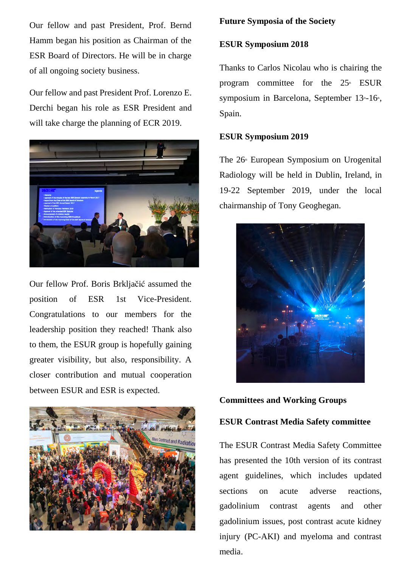Our fellow and past President, Prof. Bernd Hamm began his position as Chairman of the ESR Board of Directors. He will be in charge of all ongoing society business.

Our fellow and past President Prof. Lorenzo E. Derchi began his role as ESR President and will take charge the planning of ECR 2019.



Our fellow Prof. Boris Brkljačić assumed the position of ESR 1st Vice-President. Congratulations to our members for the leadership position they reached! Thank also to them, the ESUR group is hopefully gaining greater visibility, but also, responsibility. A closer contribution and mutual cooperation between ESUR and ESR is expected.



## **Future Symposia of the Society**

## **ESUR Symposium 2018**

Thanks to Carlos Nicolau who is chairing the program committee for the  $25<sup>*</sup>$  ESUR symposium in Barcelona, September  $13 - 16$ <sup>th</sup>, Spain.

## **ESUR Symposium 2019**

The  $26<sup>th</sup>$  European Symposium on Urogenital Radiology will be held in Dublin, Ireland, in 19-22 September 2019, under the local chairmanship of Tony Geoghegan.



**Committees and Working Groups**

#### **ESUR Contrast Media Safety committee**

The ESUR Contrast Media Safety Committee has presented the 10th version of its contrast agent guidelines, which includes updated sections on acute adverse reactions gadolinium contrast agents and other gadolinium issues, post contrast acute kidney injury (PC-AKI) and myeloma and contrast media.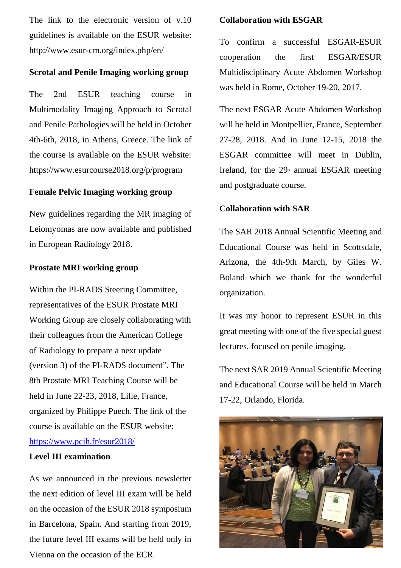The link to the electronic version of v.10 guidelines is available on the ESUR website: http://www.esur-cm.org/index.php/en/

## **Scrotal and Penile Imaging working group**

The 2nd ESUR teaching course in Multimodality Imaging Approach to Scrotal and Penile Pathologies will be held in October 4th-6th, 2018, in Athens, Greece. The link of the course is available on the ESUR website: https://www.esurcourse2018.org/p/program

## **Female Pelvic Imaging working group**

New guidelines regarding the MR imaging of Leiomyomas are now available and published in European Radiology 2018.

## **Prostate MRI working group**

Within the PI-RADS Steering Committee, representatives of the ESUR Prostate MRI Working Group are closely collaborating with their colleagues from the American College of Radiology to prepare a next update (version 3) of the PI-RADS document". The 8th Prostate MRI Teaching Course will be held in June 22-23, 2018, Lille, France, organized by Philippe Puech. The link of the course is available on the ESUR website: https://www.pcih.fr/esur2018/

#### **Level III examination**

As we announced in the previous newsletter the next edition of level III exam will be held on the occasion of the ESUR 2018 symposium in Barcelona, Spain. And starting from 2019, the future level III exams will be held only in Vienna on the occasion of the ECR.

#### **Collaboration with ESGAR**

To confirm a successful ESGAR-ESUR cooperation the first ESGAR/ESUR Multidisciplinary Acute Abdomen Workshop was held in Rome, October 19-20, 2017.

The next ESGAR Acute Abdomen Workshop will be held in Montpellier, France, September 27-28, 2018. And in June 12-15, 2018 the ESGAR committee will meet in Dublin, Ireland, for the  $29<sup>th</sup>$  annual ESGAR meeting and postgraduate course.

#### **Collaboration with SAR**

The SAR 2018 Annual Scientific Meeting and Educational Course was held in Scottsdale, Arizona, the 4th-9th March, by Giles W. Boland which we thank for the wonderful organization.

It was my honor to represent ESUR in this great meeting with one of the five special guest lectures, focused on penile imaging.

The next SAR 2019 Annual Scientific Meeting and Educational Course will be held in March 17-22, Orlando, Florida.